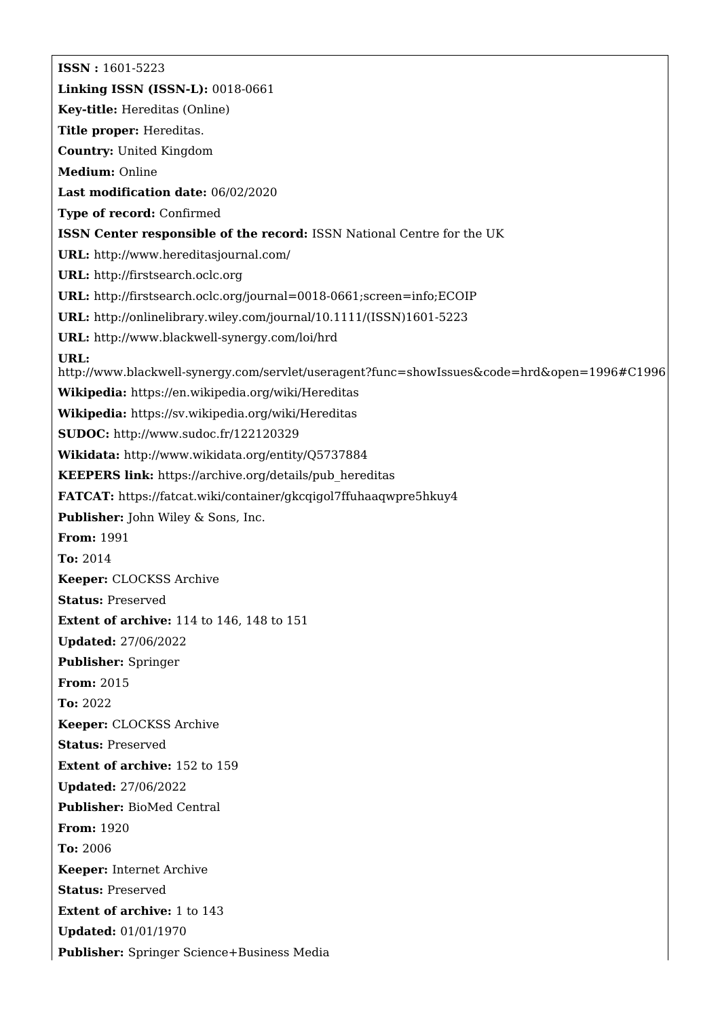**ISSN :** 1601-5223 **Linking ISSN (ISSN-L):** 0018-0661 **Key-title:** Hereditas (Online) **Title proper:** Hereditas. **Country:** United Kingdom **Medium:** Online **Last modification date:** 06/02/2020 **Type of record:** Confirmed **ISSN Center responsible of the record:** ISSN National Centre for the UK **URL:** <http://www.hereditasjournal.com/> **URL:** <http://firstsearch.oclc.org> **URL:** <http://firstsearch.oclc.org/journal=0018-0661;screen=info;ECOIP> **URL:** [http://onlinelibrary.wiley.com/journal/10.1111/\(ISSN\)1601-5223](http://onlinelibrary.wiley.com/journal/10.1111/(ISSN)1601-5223) **URL:** <http://www.blackwell-synergy.com/loi/hrd> **URL:** <http://www.blackwell-synergy.com/servlet/useragent?func=showIssues&code=hrd&open=1996#C1996> **Wikipedia:** <https://en.wikipedia.org/wiki/Hereditas> **Wikipedia:** <https://sv.wikipedia.org/wiki/Hereditas> **SUDOC:** <http://www.sudoc.fr/122120329> **Wikidata:** <http://www.wikidata.org/entity/Q5737884> **KEEPERS link:** [https://archive.org/details/pub\\_hereditas](https://archive.org/details/pub_hereditas) **FATCAT:** <https://fatcat.wiki/container/gkcqigol7ffuhaaqwpre5hkuy4> **Publisher:** John Wiley & Sons, Inc. **From:** 1991 **To:** 2014 **Keeper:** CLOCKSS Archive **Status:** Preserved **Extent of archive:** 114 to 146, 148 to 151 **Updated:** 27/06/2022 **Publisher:** Springer **From:** 2015 **To:** 2022 **Keeper:** CLOCKSS Archive **Status:** Preserved **Extent of archive:** 152 to 159 **Updated:** 27/06/2022 **Publisher:** BioMed Central **From:** 1920 **To:** 2006 **Keeper:** Internet Archive **Status:** Preserved **Extent of archive:** 1 to 143 **Updated:** 01/01/1970 **Publisher:** Springer Science+Business Media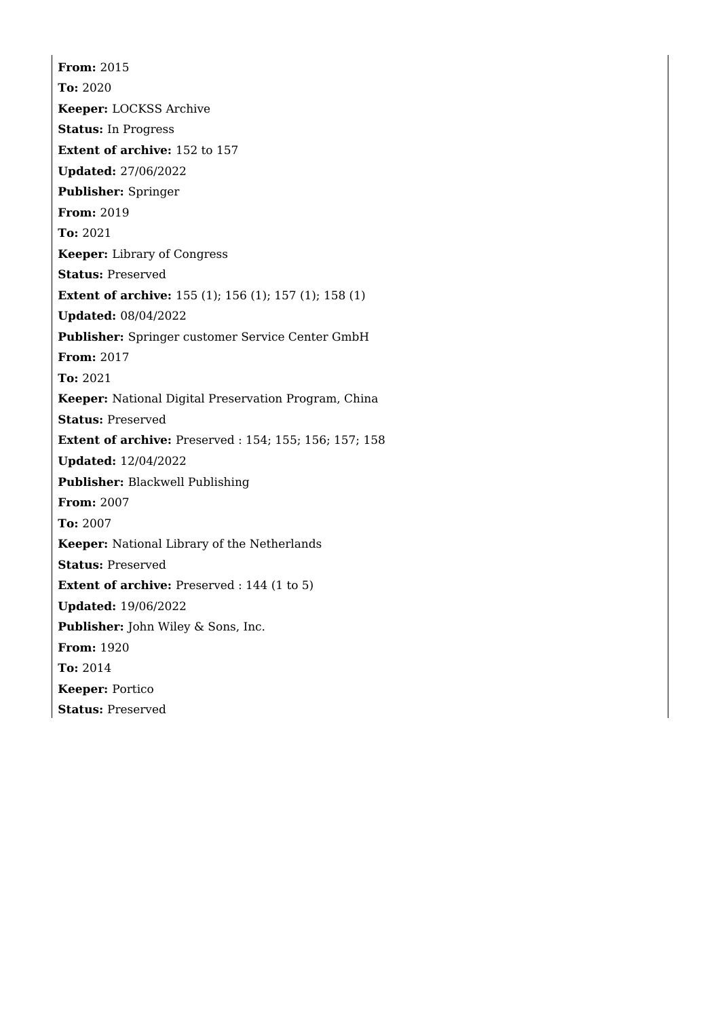**From:** 2015 **To:** 2020 **Keeper:** LOCKSS Archive **Status:** In Progress **Extent of archive:** 152 to 157 **Updated:** 27/06/2022 **Publisher:** Springer **From:** 2019 **To:** 2021 **Keeper:** Library of Congress **Status:** Preserved **Extent of archive:** 155 (1); 156 (1); 157 (1); 158 (1) **Updated:** 08/04/2022 **Publisher:** Springer customer Service Center GmbH **From:** 2017 **To:** 2021 **Keeper:** National Digital Preservation Program, China **Status:** Preserved **Extent of archive:** Preserved : 154; 155; 156; 157; 158 **Updated:** 12/04/2022 **Publisher:** Blackwell Publishing **From:** 2007 **To:** 2007 **Keeper:** National Library of the Netherlands **Status:** Preserved **Extent of archive:** Preserved : 144 (1 to 5) **Updated:** 19/06/2022 **Publisher:** John Wiley & Sons, Inc. **From:** 1920 **To:** 2014 **Keeper:** Portico **Status:** Preserved